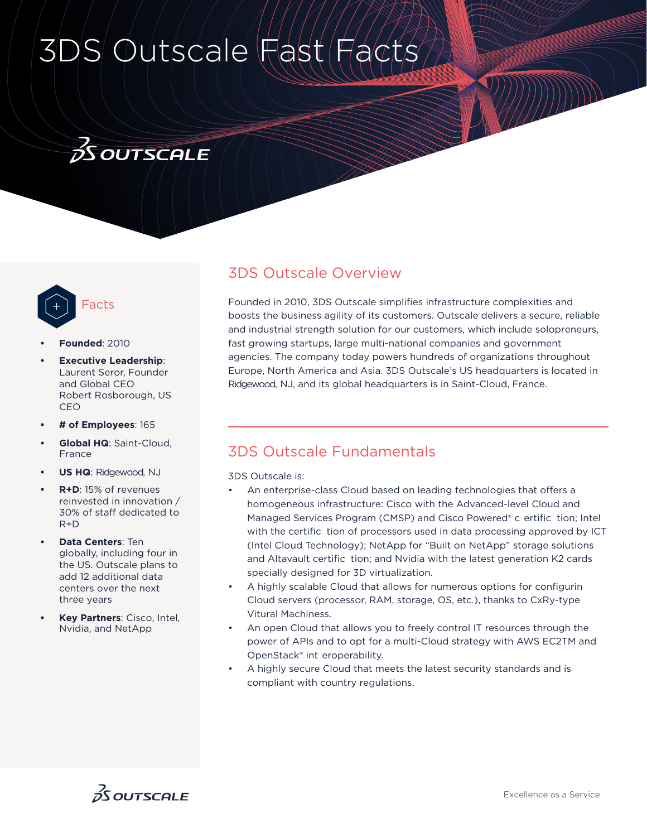# 3DS Outscale Fast

## **OS OUTSCALE**



- **• Founded**: 2010
- **Executive Leadership:** Laurent Seror, Founder and Global CEO Robert Rosborough, US CEO
- **# of Employees**: 165
- **Global HQ**: Saint-Cloud, France
- **US HQ**: Ridgewood, NJ
- **R+D**: 15% of revenues reinvested in innovation / 30% of staff dedicated to R+D
- **Data Centers**: Ten globally, including four in the US. Outscale plans to add 12 additional data centers over the next three years
- **Key Partners**: Cisco, Intel, Nvidia, and NetApp

### 3DS Outscale Overview

Founded in 2010, 3DS Outscale simplifies infrastructure complexities and boosts the business agility of its customers. Outscale delivers a secure, reliable and industrial strength solution for our customers, which include solopreneurs, fast growing startups, large multi-national companies and government agencies. The company today powers hundreds of organizations throughout Europe, North America and Asia. 3DS Outscale's US headquarters is located in Ridgewood, NJ, and its global headquarters is in Saint-Cloud, France.

#### 3DS Outscale Fundamentals

3DS Outscale is:

- An enterprise-class Cloud based on leading technologies that offers a homogeneous infrastructure: Cisco with the Advanced-level Cloud and Managed Services Program (CMSP) and Cisco Powered® c ertific tion; Intel with the certific tion of processors used in data processing approved by ICT (Intel Cloud Technology); NetApp for "Built on NetApp" storage solutions and Altavault certific tion; and Nvidia with the latest generation K2 cards specially designed for 3D virtualization.
- A highly scalable Cloud that allows for numerous options for configurin Cloud servers (processor, RAM, storage, OS, etc.), thanks to CxRy-type Vitural Machiness.
- An open Cloud that allows you to freely control IT resources through the power of APIs and to opt for a multi-Cloud strategy with AWS EC2TM and OpenStack® int eroperability.
- A highly secure Cloud that meets the latest security standards and is compliant with country regulations.